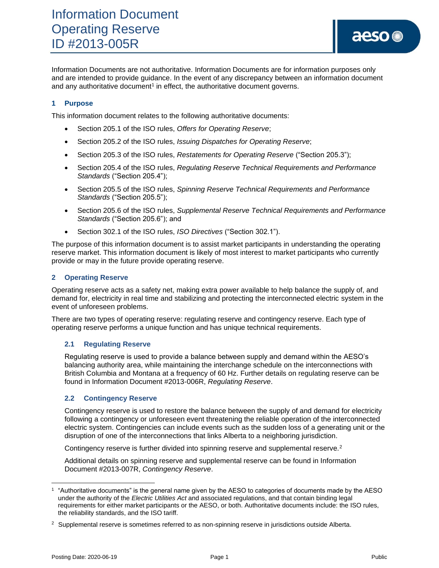Information Documents are not authoritative. Information Documents are for information purposes only and are intended to provide guidance. In the event of any discrepancy between an information document and any authoritative document<sup>1</sup> in effect, the authoritative document governs.

## **1 Purpose**

This information document relates to the following authoritative documents:

- Section 205.1 of the ISO rules, *Offers for Operating Reserve*;
- Section 205.2 of the ISO rules, *Issuing Dispatches for Operating Reserve*;
- Section 205.3 of the ISO rules, *Restatements for Operating Reserve* ("Section 205.3");
- Section 205.4 of the ISO rules, *Regulating Reserve Technical Requirements and Performance Standards* ("Section 205.4");
- Section 205.5 of the ISO rules, *Spinning Reserve Technical Requirements and Performance Standards* ("Section 205.5");
- Section 205.6 of the ISO rules, *Supplemental Reserve Technical Requirements and Performance Standards* ("Section 205.6"); and
- Section 302.1 of the ISO rules, *ISO Directives* ("Section 302.1").

The purpose of this information document is to assist market participants in understanding the operating reserve market. This information document is likely of most interest to market participants who currently provide or may in the future provide operating reserve.

## **2 Operating Reserve**

Operating reserve acts as a safety net, making extra power available to help balance the supply of, and demand for, electricity in real time and stabilizing and protecting the interconnected electric system in the event of unforeseen problems.

There are two types of operating reserve: regulating reserve and contingency reserve. Each type of operating reserve performs a unique function and has unique technical requirements.

#### **2.1 Regulating Reserve**

Regulating reserve is used to provide a balance between supply and demand within the AESO's balancing authority area, while maintaining the interchange schedule on the interconnections with British Columbia and Montana at a frequency of 60 Hz. Further details on regulating reserve can be found in Information Document #2013-006R, *Regulating Reserve*.

#### **2.2 Contingency Reserve**

Contingency reserve is used to restore the balance between the supply of and demand for electricity following a contingency or unforeseen event threatening the reliable operation of the interconnected electric system. Contingencies can include events such as the sudden loss of a generating unit or the disruption of one of the interconnections that links Alberta to a neighboring jurisdiction.

Contingency reserve is further divided into spinning reserve and supplemental reserve.<sup>2</sup>

Additional details on spinning reserve and supplemental reserve can be found in Information Document #2013-007R, *Contingency Reserve*.

<sup>1</sup> "Authoritative documents" is the general name given by the AESO to categories of documents made by the AESO under the authority of the *Electric Utilities Act* and associated regulations, and that contain binding legal requirements for either market participants or the AESO, or both. Authoritative documents include: the ISO rules, the reliability standards, and the ISO tariff.

<sup>&</sup>lt;sup>2</sup> Supplemental reserve is sometimes referred to as non-spinning reserve in jurisdictions outside Alberta.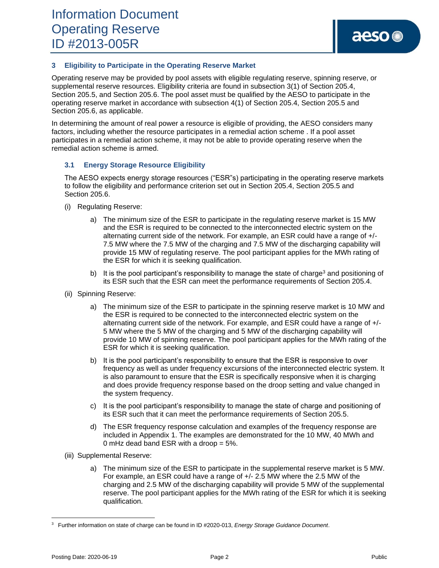## **3 Eligibility to Participate in the Operating Reserve Market**

Operating reserve may be provided by pool assets with eligible regulating reserve, spinning reserve, or supplemental reserve resources. Eligibility criteria are found in subsection 3(1) of Section 205.4, Section 205.5, and Section 205.6. The pool asset must be qualified by the AESO to participate in the operating reserve market in accordance with subsection 4(1) of Section 205.4, Section 205.5 and Section 205.6, as applicable.

In determining the amount of real power a resource is eligible of providing, the AESO considers many factors, including whether the resource participates in a remedial action scheme . If a pool asset participates in a remedial action scheme, it may not be able to provide operating reserve when the remedial action scheme is armed.

## **3.1 Energy Storage Resource Eligibility**

The AESO expects energy storage resources ("ESR"s) participating in the operating reserve markets to follow the eligibility and performance criterion set out in Section 205.4, Section 205.5 and Section 205.6.

- (i) Regulating Reserve:
	- a) The minimum size of the ESR to participate in the regulating reserve market is 15 MW and the ESR is required to be connected to the interconnected electric system on the alternating current side of the network. For example, an ESR could have a range of +/- 7.5 MW where the 7.5 MW of the charging and 7.5 MW of the discharging capability will provide 15 MW of regulating reserve. The pool participant applies for the MWh rating of the ESR for which it is seeking qualification.
	- b) It is the pool participant's responsibility to manage the state of charge<sup>3</sup> and positioning of its ESR such that the ESR can meet the performance requirements of Section 205.4.
- (ii) Spinning Reserve:
	- a) The minimum size of the ESR to participate in the spinning reserve market is 10 MW and the ESR is required to be connected to the interconnected electric system on the alternating current side of the network. For example, and ESR could have a range of +/- 5 MW where the 5 MW of the charging and 5 MW of the discharging capability will provide 10 MW of spinning reserve. The pool participant applies for the MWh rating of the ESR for which it is seeking qualification.
	- b) It is the pool participant's responsibility to ensure that the ESR is responsive to over frequency as well as under frequency excursions of the interconnected electric system. It is also paramount to ensure that the ESR is specifically responsive when it is charging and does provide frequency response based on the droop setting and value changed in the system frequency.
	- c) It is the pool participant's responsibility to manage the state of charge and positioning of its ESR such that it can meet the performance requirements of Section 205.5.
	- d) The ESR frequency response calculation and examples of the frequency response are included in Appendix 1. The examples are demonstrated for the 10 MW, 40 MWh and 0 mHz dead band ESR with a droop = 5%.
- (iii) Supplemental Reserve:
	- a) The minimum size of the ESR to participate in the supplemental reserve market is 5 MW. For example, an ESR could have a range of +/- 2.5 MW where the 2.5 MW of the charging and 2.5 MW of the discharging capability will provide 5 MW of the supplemental reserve. The pool participant applies for the MWh rating of the ESR for which it is seeking qualification.

<sup>3</sup> Further information on state of charge can be found in ID #2020-013, *Energy Storage Guidance Document*.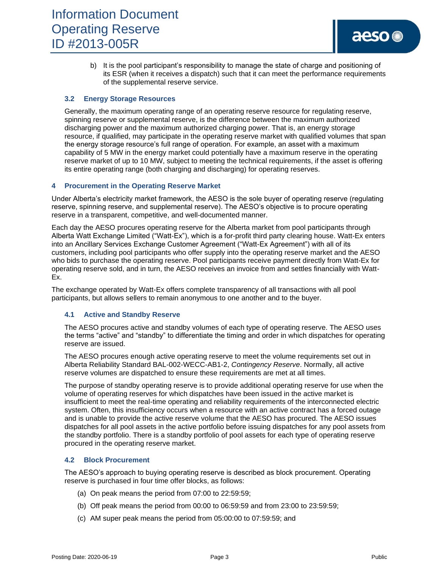b) It is the pool participant's responsibility to manage the state of charge and positioning of its ESR (when it receives a dispatch) such that it can meet the performance requirements of the supplemental reserve service.

## **3.2 Energy Storage Resources**

Generally, the maximum operating range of an operating reserve resource for regulating reserve, spinning reserve or supplemental reserve, is the difference between the maximum authorized discharging power and the maximum authorized charging power. That is, an energy storage resource, if qualified, may participate in the operating reserve market with qualified volumes that span the energy storage resource's full range of operation. For example, an asset with a maximum capability of 5 MW in the energy market could potentially have a maximum reserve in the operating reserve market of up to 10 MW, subject to meeting the technical requirements, if the asset is offering its entire operating range (both charging and discharging) for operating reserves.

## **4 Procurement in the Operating Reserve Market**

Under Alberta's electricity market framework, the AESO is the sole buyer of operating reserve (regulating reserve, spinning reserve, and supplemental reserve). The AESO's objective is to procure operating reserve in a transparent, competitive, and well-documented manner.

Each day the AESO procures operating reserve for the Alberta market from pool participants through Alberta Watt Exchange Limited ("Watt-Ex"), which is a for-profit third party clearing house. Watt-Ex enters into an Ancillary Services Exchange Customer Agreement ("Watt-Ex Agreement") with all of its customers, including pool participants who offer supply into the operating reserve market and the AESO who bids to purchase the operating reserve. Pool participants receive payment directly from Watt-Ex for operating reserve sold, and in turn, the AESO receives an invoice from and settles financially with Watt-Ex.

The exchange operated by Watt-Ex offers complete transparency of all transactions with all pool participants, but allows sellers to remain anonymous to one another and to the buyer.

#### **4.1 Active and Standby Reserve**

The AESO procures active and standby volumes of each type of operating reserve. The AESO uses the terms "active" and "standby" to differentiate the timing and order in which dispatches for operating reserve are issued.

The AESO procures enough active operating reserve to meet the volume requirements set out in Alberta Reliability Standard BAL-002-WECC-AB1-2, *Contingency Reserve*. Normally, all active reserve volumes are dispatched to ensure these requirements are met at all times.

The purpose of standby operating reserve is to provide additional operating reserve for use when the volume of operating reserves for which dispatches have been issued in the active market is insufficient to meet the real-time operating and reliability requirements of the interconnected electric system. Often, this insufficiency occurs when a resource with an active contract has a forced outage and is unable to provide the active reserve volume that the AESO has procured. The AESO issues dispatches for all pool assets in the active portfolio before issuing dispatches for any pool assets from the standby portfolio. There is a standby portfolio of pool assets for each type of operating reserve procured in the operating reserve market.

#### **4.2 Block Procurement**

The AESO's approach to buying operating reserve is described as block procurement. Operating reserve is purchased in four time offer blocks, as follows:

- (a) On peak means the period from 07:00 to 22:59:59;
- (b) Off peak means the period from 00:00 to 06:59:59 and from 23:00 to 23:59:59;
- (c) AM super peak means the period from 05:00:00 to 07:59:59; and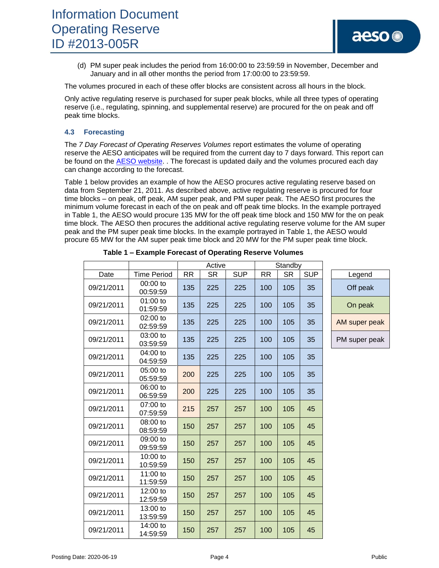(d) PM super peak includes the period from 16:00:00 to 23:59:59 in November, December and January and in all other months the period from 17:00:00 to 23:59:59.

The volumes procured in each of these offer blocks are consistent across all hours in the block.

Only active regulating reserve is purchased for super peak blocks, while all three types of operating reserve (i.e., regulating, spinning, and supplemental reserve) are procured for the on peak and off peak time blocks.

## **4.3 Forecasting**

The *7 Day Forecast of Operating Reserves Volumes* report estimates the volume of operating reserve the AESO anticipates will be required from the current day to 7 days forward. This report can be found on the **AESO website.** . The forecast is updated daily and the volumes procured each day can change according to the forecast.

Table 1 below provides an example of how the AESO procures active regulating reserve based on data from September 21, 2011. As described above, active regulating reserve is procured for four time blocks – on peak, off peak, AM super peak, and PM super peak. The AESO first procures the minimum volume forecast in each of the on peak and off peak time blocks. In the example portrayed in Table 1, the AESO would procure 135 MW for the off peak time block and 150 MW for the on peak time block. The AESO then procures the additional active regulating reserve volume for the AM super peak and the PM super peak time blocks. In the example portrayed in Table 1, the AESO would procure 65 MW for the AM super peak time block and 20 MW for the PM super peak time block.

|            |                        | Active    |           | Standby    |           |           |            |               |
|------------|------------------------|-----------|-----------|------------|-----------|-----------|------------|---------------|
| Date       | <b>Time Period</b>     | <b>RR</b> | <b>SR</b> | <b>SUP</b> | <b>RR</b> | <b>SR</b> | <b>SUP</b> | Legend        |
| 09/21/2011 | 00:00 to<br>00:59:59   | 135       | 225       | 225        | 100       | 105       | 35         | Off peak      |
| 09/21/2011 | 01:00 to<br>01:59:59   | 135       | 225       | 225        | 100       | 105       | 35         | On peak       |
| 09/21/2011 | 02:00 to<br>02:59:59   | 135       | 225       | 225        | 100       | 105       | 35         | AM super peak |
| 09/21/2011 | 03:00 to<br>03:59:59   | 135       | 225       | 225        | 100       | 105       | 35         | PM super peak |
| 09/21/2011 | 04:00 to<br>04:59:59   | 135       | 225       | 225        | 100       | 105       | 35         |               |
| 09/21/2011 | 05:00 to<br>05:59:59   | 200       | 225       | 225        | 100       | 105       | 35         |               |
| 09/21/2011 | 06:00 to<br>06:59:59   | 200       | 225       | 225        | 100       | 105       | 35         |               |
| 09/21/2011 | 07:00 to<br>07:59:59   | 215       | 257       | 257        | 100       | 105       | 45         |               |
| 09/21/2011 | 08:00 to<br>08:59:59   | 150       | 257       | 257        | 100       | 105       | 45         |               |
| 09/21/2011 | 09:00 to<br>09:59:59   | 150       | 257       | 257        | 100       | 105       | 45         |               |
| 09/21/2011 | 10:00 to<br>10:59:59   | 150       | 257       | 257        | 100       | 105       | 45         |               |
| 09/21/2011 | 11:00 to<br>11:59:59   | 150       | 257       | 257        | 100       | 105       | 45         |               |
| 09/21/2011 | $12:00$ to<br>12:59:59 | 150       | 257       | 257        | 100       | 105       | 45         |               |
| 09/21/2011 | 13:00 to<br>13:59:59   | 150       | 257       | 257        | 100       | 105       | 45         |               |
| 09/21/2011 | 14:00 to<br>14:59:59   | 150       | 257       | 257        | 100       | 105       | 45         |               |

| Table 1 - Example Forecast of Operating Reserve Volumes |  |  |  |
|---------------------------------------------------------|--|--|--|
|---------------------------------------------------------|--|--|--|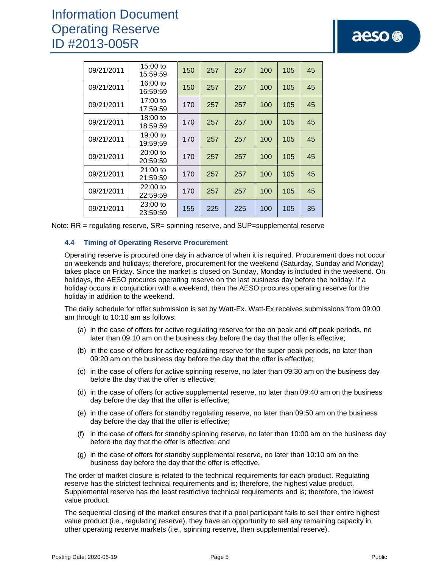# Information Document Operating Reserve ID #2013-005R

| 09/21/2011 | 15:00 to<br>15:59:59   | 150 | 257 | 257 | 100 | 105 | 45 |
|------------|------------------------|-----|-----|-----|-----|-----|----|
| 09/21/2011 | 16:00 to<br>16:59:59   | 150 | 257 | 257 | 100 | 105 | 45 |
| 09/21/2011 | 17:00 to<br>17:59:59   | 170 | 257 | 257 | 100 | 105 | 45 |
| 09/21/2011 | 18:00 to<br>18:59:59   | 170 | 257 | 257 | 100 | 105 | 45 |
| 09/21/2011 | 19:00 to<br>19:59:59   | 170 | 257 | 257 | 100 | 105 | 45 |
| 09/21/2011 | $20:00$ to<br>20:59:59 | 170 | 257 | 257 | 100 | 105 | 45 |
| 09/21/2011 | $21:00$ to<br>21:59:59 | 170 | 257 | 257 | 100 | 105 | 45 |
| 09/21/2011 | $22:00$ to<br>22:59:59 | 170 | 257 | 257 | 100 | 105 | 45 |
| 09/21/2011 | 23:00 to<br>23:59:59   | 155 | 225 | 225 | 100 | 105 | 35 |

|  | Note: RR = regulating reserve, SR= spinning reserve, and SUP=supplemental reserve |
|--|-----------------------------------------------------------------------------------|
|  |                                                                                   |

#### **4.4 Timing of Operating Reserve Procurement**

Operating reserve is procured one day in advance of when it is required. Procurement does not occur on weekends and holidays; therefore, procurement for the weekend (Saturday, Sunday and Monday) takes place on Friday. Since the market is closed on Sunday, Monday is included in the weekend. On holidays, the AESO procures operating reserve on the last business day before the holiday. If a holiday occurs in conjunction with a weekend, then the AESO procures operating reserve for the holiday in addition to the weekend.

The daily schedule for offer submission is set by Watt-Ex. Watt-Ex receives submissions from 09:00 am through to 10:10 am as follows:

- (a) in the case of offers for active regulating reserve for the on peak and off peak periods, no later than 09:10 am on the business day before the day that the offer is effective;
- (b) in the case of offers for active regulating reserve for the super peak periods, no later than 09:20 am on the business day before the day that the offer is effective;
- (c) in the case of offers for active spinning reserve, no later than 09:30 am on the business day before the day that the offer is effective;
- (d) in the case of offers for active supplemental reserve, no later than 09:40 am on the business day before the day that the offer is effective;
- (e) in the case of offers for standby regulating reserve, no later than 09:50 am on the business day before the day that the offer is effective;
- (f) in the case of offers for standby spinning reserve, no later than 10:00 am on the business day before the day that the offer is effective; and
- (g) in the case of offers for standby supplemental reserve, no later than 10:10 am on the business day before the day that the offer is effective.

The order of market closure is related to the technical requirements for each product. Regulating reserve has the strictest technical requirements and is; therefore, the highest value product. Supplemental reserve has the least restrictive technical requirements and is; therefore, the lowest value product.

The sequential closing of the market ensures that if a pool participant fails to sell their entire highest value product (i.e., regulating reserve), they have an opportunity to sell any remaining capacity in other operating reserve markets (i.e., spinning reserve, then supplemental reserve).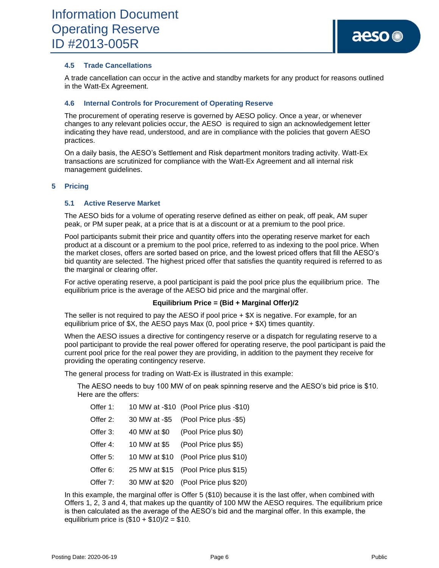## **4.5 Trade Cancellations**

A trade cancellation can occur in the active and standby markets for any product for reasons outlined in the Watt-Ex Agreement.

#### **4.6 Internal Controls for Procurement of Operating Reserve**

The procurement of operating reserve is governed by AESO policy. Once a year, or whenever changes to any relevant policies occur, the AESO is required to sign an acknowledgement letter indicating they have read, understood, and are in compliance with the policies that govern AESO practices.

On a daily basis, the AESO's Settlement and Risk department monitors trading activity. Watt-Ex transactions are scrutinized for compliance with the Watt-Ex Agreement and all internal risk management guidelines.

#### **5 Pricing**

#### **5.1 Active Reserve Market**

The AESO bids for a volume of operating reserve defined as either on peak, off peak, AM super peak, or PM super peak, at a price that is at a discount or at a premium to the pool price.

Pool participants submit their price and quantity offers into the operating reserve market for each product at a discount or a premium to the pool price, referred to as indexing to the pool price. When the market closes, offers are sorted based on price, and the lowest priced offers that fill the AESO's bid quantity are selected. The highest priced offer that satisfies the quantity required is referred to as the marginal or clearing offer.

For active operating reserve, a pool participant is paid the pool price plus the equilibrium price. The equilibrium price is the average of the AESO bid price and the marginal offer.

#### **Equilibrium Price = (Bid + Marginal Offer)/2**

The seller is not required to pay the AESO if pool price + \$X is negative. For example, for an equilibrium price of  $X$ , the AESO pays Max (0, pool price  $+$  \$X) times quantity.

When the AESO issues a directive for contingency reserve or a dispatch for regulating reserve to a pool participant to provide the real power offered for operating reserve, the pool participant is paid the current pool price for the real power they are providing, in addition to the payment they receive for providing the operating contingency reserve.

The general process for trading on Watt-Ex is illustrated in this example:

The AESO needs to buy 100 MW of on peak spinning reserve and the AESO's bid price is \$10. Here are the offers:

| Offer 1: |               | 10 MW at -\$10 (Pool Price plus -\$10) |
|----------|---------------|----------------------------------------|
| Offer 2: | 30 MW at -\$5 | (Pool Price plus -\$5)                 |
| Offer 3: | 40 MW at \$0  | (Pool Price plus \$0)                  |
| Offer 4: | 10 MW at \$5  | (Pool Price plus \$5)                  |
| Offer 5: | 10 MW at \$10 | (Pool Price plus \$10)                 |
| Offer 6: |               | 25 MW at \$15 (Pool Price plus \$15)   |
| Offer 7: |               | 30 MW at \$20 (Pool Price plus \$20)   |

In this example, the marginal offer is Offer 5 (\$10) because it is the last offer, when combined with Offers 1, 2, 3 and 4, that makes up the quantity of 100 MW the AESO requires. The equilibrium price is then calculated as the average of the AESO's bid and the marginal offer. In this example, the equilibrium price is  $(\$10 + \$10)/2 = \$10$ .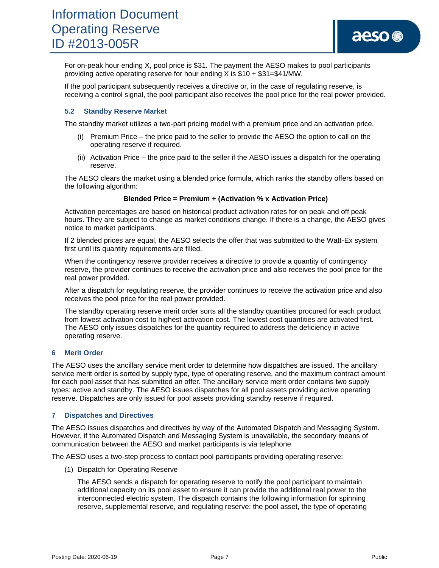For on-peak hour ending X, pool price is \$31. The payment the AESO makes to pool participants providing active operating reserve for hour ending  $X$  is \$10 + \$31=\$41/MW.

If the pool participant subsequently receives a directive or, in the case of regulating reserve, is receiving a control signal, the pool participant also receives the pool price for the real power provided.

#### **5.2 Standby Reserve Market**

The standby market utilizes a two-part pricing model with a premium price and an activation price.

- (i) Premium Price the price paid to the seller to provide the AESO the option to call on the operating reserve if required.
- (ii) Activation Price the price paid to the seller if the AESO issues a dispatch for the operating reserve.

The AESO clears the market using a blended price formula, which ranks the standby offers based on the following algorithm:

#### **Blended Price = Premium + (Activation % x Activation Price)**

Activation percentages are based on historical product activation rates for on peak and off peak hours. They are subject to change as market conditions change. If there is a change, the AESO gives notice to market participants.

If 2 blended prices are equal, the AESO selects the offer that was submitted to the Watt-Ex system first until its quantity requirements are filled.

When the contingency reserve provider receives a directive to provide a quantity of contingency reserve, the provider continues to receive the activation price and also receives the pool price for the real power provided.

After a dispatch for regulating reserve, the provider continues to receive the activation price and also receives the pool price for the real power provided.

The standby operating reserve merit order sorts all the standby quantities procured for each product from lowest activation cost to highest activation cost. The lowest cost quantities are activated first. The AESO only issues dispatches for the quantity required to address the deficiency in active operating reserve.

#### **6 Merit Order**

The AESO uses the ancillary service merit order to determine how dispatches are issued. The ancillary service merit order is sorted by supply type, type of operating reserve, and the maximum contract amount for each pool asset that has submitted an offer. The ancillary service merit order contains two supply types: active and standby. The AESO issues dispatches for all pool assets providing active operating reserve. Dispatches are only issued for pool assets providing standby reserve if required.

#### **7 Dispatches and Directives**

The AESO issues dispatches and directives by way of the Automated Dispatch and Messaging System. However, if the Automated Dispatch and Messaging System is unavailable, the secondary means of communication between the AESO and market participants is via telephone.

The AESO uses a two-step process to contact pool participants providing operating reserve:

(1) Dispatch for Operating Reserve

The AESO sends a dispatch for operating reserve to notify the pool participant to maintain additional capacity on its pool asset to ensure it can provide the additional real power to the interconnected electric system. The dispatch contains the following information for spinning reserve, supplemental reserve, and regulating reserve: the pool asset, the type of operating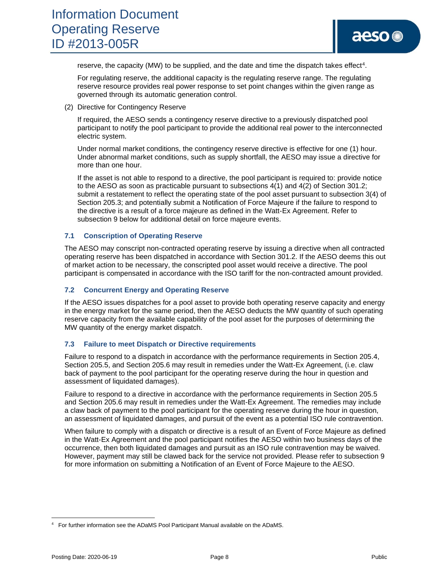reserve, the capacity (MW) to be supplied, and the date and time the dispatch takes effect<sup>4</sup>.

For regulating reserve, the additional capacity is the regulating reserve range. The regulating reserve resource provides real power response to set point changes within the given range as governed through its automatic generation control.

(2) Directive for Contingency Reserve

If required, the AESO sends a contingency reserve directive to a previously dispatched pool participant to notify the pool participant to provide the additional real power to the interconnected electric system.

Under normal market conditions, the contingency reserve directive is effective for one (1) hour. Under abnormal market conditions, such as supply shortfall, the AESO may issue a directive for more than one hour.

If the asset is not able to respond to a directive, the pool participant is required to: provide notice to the AESO as soon as practicable pursuant to subsections 4(1) and 4(2) of Section 301.2; submit a restatement to reflect the operating state of the pool asset pursuant to subsection 3(4) of Section 205.3; and potentially submit a Notification of Force Majeure if the failure to respond to the directive is a result of a force majeure as defined in the Watt-Ex Agreement. Refer to subsection 9 below for additional detail on force majeure events.

## **7.1 Conscription of Operating Reserve**

The AESO may conscript non-contracted operating reserve by issuing a directive when all contracted operating reserve has been dispatched in accordance with Section 301.2. If the AESO deems this out of market action to be necessary, the conscripted pool asset would receive a directive. The pool participant is compensated in accordance with the ISO tariff for the non-contracted amount provided.

## **7.2 Concurrent Energy and Operating Reserve**

If the AESO issues dispatches for a pool asset to provide both operating reserve capacity and energy in the energy market for the same period, then the AESO deducts the MW quantity of such operating reserve capacity from the available capability of the pool asset for the purposes of determining the MW quantity of the energy market dispatch.

#### **7.3 Failure to meet Dispatch or Directive requirements**

Failure to respond to a dispatch in accordance with the performance requirements in Section 205.4, Section 205.5, and Section 205.6 may result in remedies under the Watt-Ex Agreement, (i.e. claw back of payment to the pool participant for the operating reserve during the hour in question and assessment of liquidated damages).

Failure to respond to a directive in accordance with the performance requirements in Section 205.5 and Section 205.6 may result in remedies under the Watt-Ex Agreement. The remedies may include a claw back of payment to the pool participant for the operating reserve during the hour in question, an assessment of liquidated damages, and pursuit of the event as a potential ISO rule contravention.

When failure to comply with a dispatch or directive is a result of an Event of Force Majeure as defined in the Watt-Ex Agreement and the pool participant notifies the AESO within two business days of the occurrence, then both liquidated damages and pursuit as an ISO rule contravention may be waived. However, payment may still be clawed back for the service not provided. Please refer to subsection 9 for more information on submitting a Notification of an Event of Force Majeure to the AESO.

<sup>4</sup> For further information see the ADaMS Pool Participant Manual available on the ADaMS.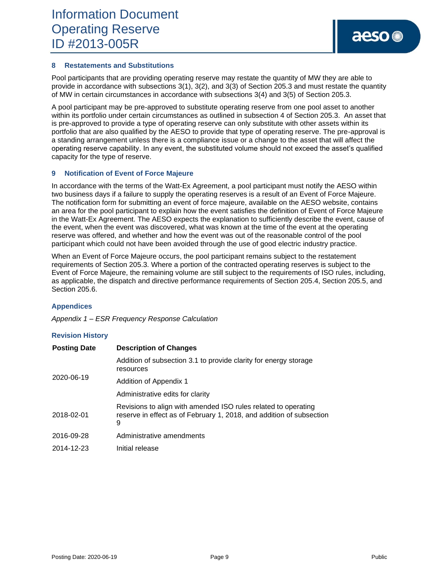## **8 Restatements and Substitutions**

Pool participants that are providing operating reserve may restate the quantity of MW they are able to provide in accordance with subsections 3(1), 3(2), and 3(3) of Section 205.3 and must restate the quantity of MW in certain circumstances in accordance with subsections 3(4) and 3(5) of Section 205.3.

A pool participant may be pre-approved to substitute operating reserve from one pool asset to another within its portfolio under certain circumstances as outlined in subsection 4 of Section 205.3. An asset that is pre-approved to provide a type of operating reserve can only substitute with other assets within its portfolio that are also qualified by the AESO to provide that type of operating reserve. The pre-approval is a standing arrangement unless there is a compliance issue or a change to the asset that will affect the operating reserve capability. In any event, the substituted volume should not exceed the asset's qualified capacity for the type of reserve.

## **9 Notification of Event of Force Majeure**

In accordance with the terms of the Watt-Ex Agreement, a pool participant must notify the AESO within two business days if a failure to supply the operating reserves is a result of an Event of Force Majeure. The notification form for submitting an event of force majeure, available on the AESO website, contains an area for the pool participant to explain how the event satisfies the definition of Event of Force Majeure in the Watt-Ex Agreement. The AESO expects the explanation to sufficiently describe the event, cause of the event, when the event was discovered, what was known at the time of the event at the operating reserve was offered, and whether and how the event was out of the reasonable control of the pool participant which could not have been avoided through the use of good electric industry practice.

When an Event of Force Majeure occurs, the pool participant remains subject to the restatement requirements of Section 205.3. Where a portion of the contracted operating reserves is subject to the Event of Force Majeure, the remaining volume are still subject to the requirements of ISO rules, including, as applicable, the dispatch and directive performance requirements of Section 205.4, Section 205.5, and Section 205.6.

#### **Appendices**

*Appendix 1 – ESR Frequency Response Calculation*

#### **Revision History**

| <b>Posting Date</b> | <b>Description of Changes</b>                                                                                                               |
|---------------------|---------------------------------------------------------------------------------------------------------------------------------------------|
| 2020-06-19          | Addition of subsection 3.1 to provide clarity for energy storage<br>resources                                                               |
|                     | Addition of Appendix 1                                                                                                                      |
|                     | Administrative edits for clarity                                                                                                            |
| 2018-02-01          | Revisions to align with amended ISO rules related to operating<br>reserve in effect as of February 1, 2018, and addition of subsection<br>9 |
| 2016-09-28          | Administrative amendments                                                                                                                   |
| 2014-12-23          | Initial release                                                                                                                             |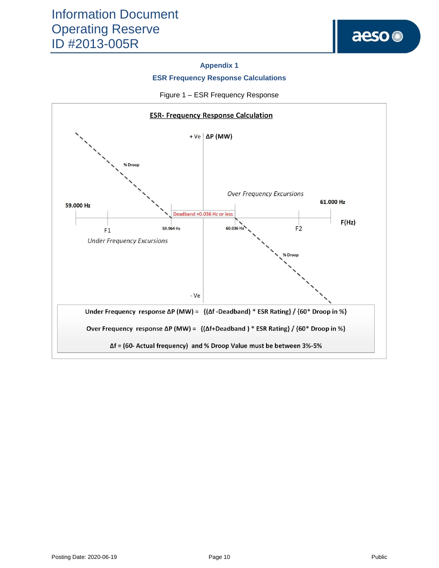## **Appendix 1**

## **ESR Frequency Response Calculations**



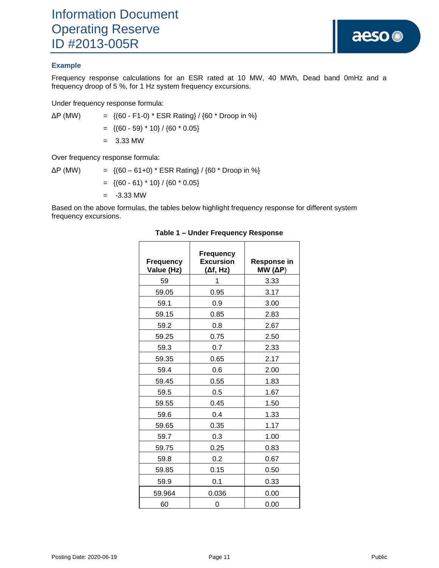## **Example**

Frequency response calculations for an ESR rated at 10 MW, 40 MWh, Dead band 0mHz and a frequency droop of 5 %, for 1 Hz system frequency excursions.

Under frequency response formula:

 $\Delta P$  (MW) = {(60 - F1-0) \* ESR Rating} / {60 \* Droop in %}  $=$  {(60 - 59) \* 10} / {60 \* 0.05}

 $= 3.33$  MW

Over frequency response formula:

 $\Delta P$  (MW) = {(60 – 61+0) \* ESR Rating} / {60 \* Droop in %}  $=$  {(60 - 61) \* 10} / {60 \* 0.05}  $= -3.33$  MW

Based on the above formulas, the tables below highlight frequency response for different system frequency excursions.

| <b>Frequency</b><br>Value (Hz) | <b>Frequency</b><br><b>Excursion</b><br>$(\Delta f, Hz)$ | Response in<br>$MW(\Delta P)$ |
|--------------------------------|----------------------------------------------------------|-------------------------------|
| 59                             | 1                                                        | 3.33                          |
| 59.05                          | 0.95                                                     | 3.17                          |
| 59.1                           | 0.9                                                      | 3.00                          |
| 59.15                          | 0.85                                                     | 2.83                          |
| 59.2                           | 0.8                                                      | 2.67                          |
| 59.25                          | 0.75                                                     | 2.50                          |
| 59.3                           | 0.7                                                      | 2.33                          |
| 59.35                          | 0.65                                                     | 2.17                          |
| 59.4                           | 0.6                                                      | 2.00                          |
| 59.45                          | 0.55                                                     | 1.83                          |
| 59.5                           | 0.5                                                      | 1.67                          |
| 59.55                          | 0.45                                                     | 1.50                          |
| 59.6                           | 0.4                                                      | 1.33                          |
| 59.65                          | 0.35                                                     | 1.17                          |
| 59.7                           | 0.3                                                      | 1.00                          |
| 59.75                          | 0.25                                                     | 0.83                          |
| 59.8                           | 0.2                                                      | 0.67                          |
| 59.85                          | 0.15                                                     | 0.50                          |
| 59.9                           | 0.1                                                      | 0.33                          |
| 59.964                         | 0.036                                                    | 0.00                          |
| 60                             | 0                                                        | 0.00                          |

#### **Table 1 – Under Frequency Response**